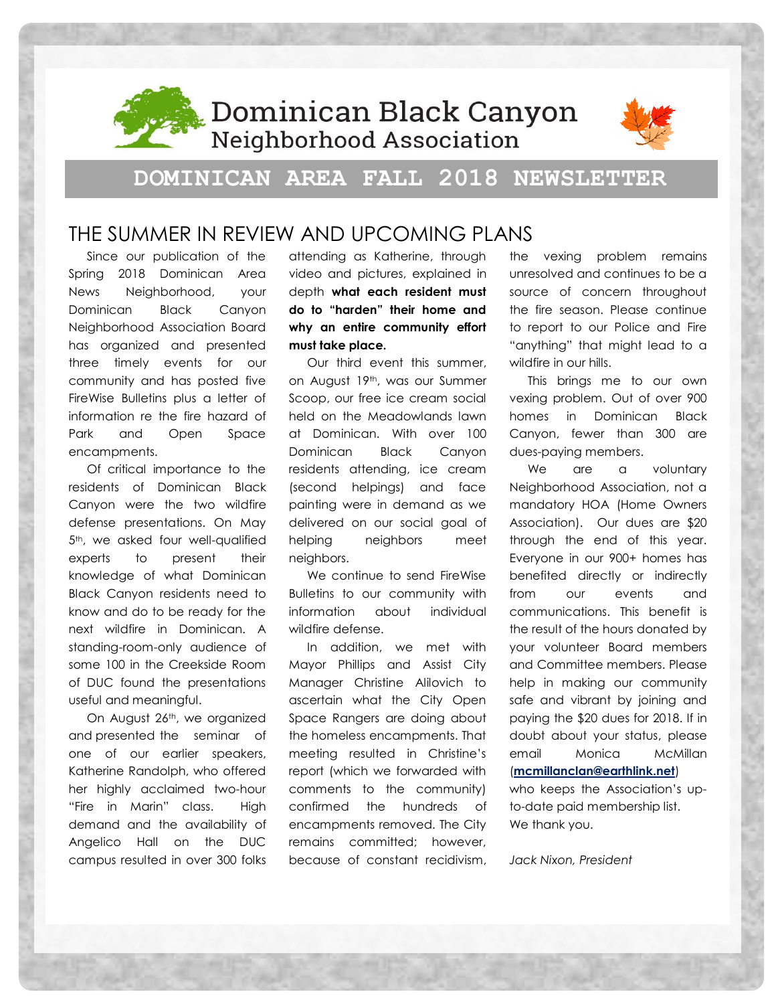

, Dominican Black Canyon **Neighborhood Association** 



## **DOMINICAN AREA FALL 2018 NEWSLETTER**

### THE SUMMER IN REVIEW AND UPCOMING PLANS

Since our publication of the Spring 2018 Dominican Area News Neighborhood, your Dominican Black Canyon Neighborhood Association Board has organized and presented three timely events for our community and has posted five FireWise Bulletins plus a letter of information re the fire hazard of Park and Open Space encampments.

Of critical importance to the residents of Dominican Black Canyon were the two wildfire defense presentations. On May 5<sup>th</sup>, we asked four well-qualified experts to present their knowledge of what Dominican Black Canyon residents need to know and do to be ready for the next wildfire in Dominican. A standing-room-only audience of some 100 in the Creekside Room of DUC found the presentations useful and meaningful.

On August 26th, we organized and presented the seminar of one of our earlier speakers, Katherine Randolph, who offered her highly acclaimed two-hour "Fire in Marin" class. High demand and the availability of Angelico Hall on the DUC campus resulted in over 300 folks attending as Katherine, through video and pictures, explained in depth **what each resident must do to "harden" their home and why an entire community effort must take place.** 

Our third event this summer, on August 19th, was our Summer Scoop, our free ice cream social held on the Meadowlands lawn at Dominican. With over 100 Dominican Black Canyon residents attending, ice cream (second helpings) and face painting were in demand as we delivered on our social goal of helping neighbors meet neighbors.

We continue to send FireWise Bulletins to our community with information about individual wildfire defense.

In addition, we met with Mayor Phillips and Assist City Manager Christine Alilovich to ascertain what the City Open Space Rangers are doing about the homeless encampments. That meeting resulted in Christine's report (which we forwarded with comments to the community) confirmed the hundreds of encampments removed. The City remains committed; however, because of constant recidivism, the vexing problem remains unresolved and continues to be a source of concern throughout the fire season. Please continue to report to our Police and Fire "anything" that might lead to a wildfire in our hills.

This brings me to our own vexing problem. Out of over 900 homes in Dominican Black Canyon, fewer than 300 are dues-paying members.

We are a voluntary Neighborhood Association, not a mandatory HOA (Home Owners Association). Our dues are \$20 through the end of this year. Everyone in our 900+ homes has benefited directly or indirectly from our events and communications. This benefit is the result of the hours donated by your volunteer Board members and Committee members. Please help in making our community safe and vibrant by joining and paying the \$20 dues for 2018. If in doubt about your status, please email Monica McMillan (**[mcmillanclan@earthlink.net](file:///C:/Users/jgnixon/AppData/Local/Microsoft/Windows/Temporary%20Internet%20Files/Content.Outlook/ZUSFN7EJ/mcmillanclan@earthlink.net)**) who keeps the Association's upto-date paid membership list.

*Jack Nixon, President*

We thank you.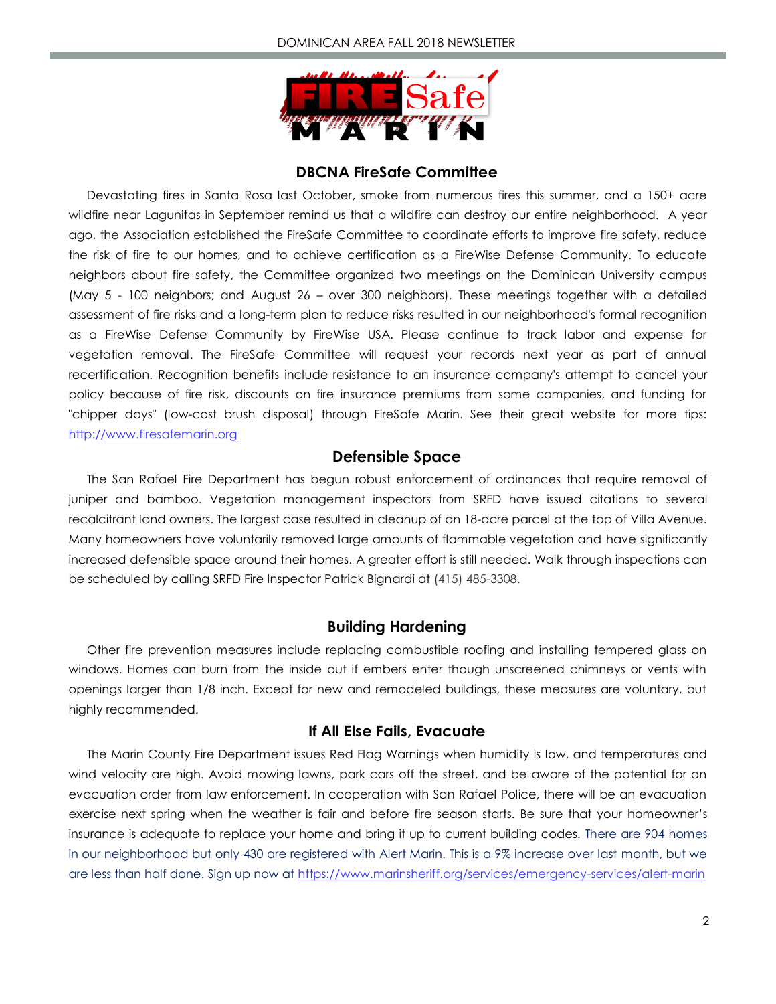

#### **DBCNA FireSafe Committee**

Devastating fires in Santa Rosa last October, smoke from numerous fires this summer, and a 150+ acre wildfire near Lagunitas in September remind us that a wildfire can destroy our entire neighborhood. A year ago, the Association established the FireSafe Committee to coordinate efforts to improve fire safety, reduce the risk of fire to our homes, and to achieve certification as a FireWise Defense Community. To educate neighbors about fire safety, the Committee organized two meetings on the Dominican University campus (May 5 - 100 neighbors; and August 26 – over 300 neighbors). These meetings together with a detailed assessment of fire risks and a long-term plan to reduce risks resulted in our neighborhood's formal recognition as a FireWise Defense Community by FireWise USA. Please continue to track labor and expense for vegetation removal. The FireSafe Committee will request your records next year as part of annual recertification. Recognition benefits include resistance to an insurance company's attempt to cancel your policy because of fire risk, discounts on fire insurance premiums from some companies, and funding for "chipper days" (low-cost brush disposal) through FireSafe Marin. See their great website for more tips: http:/[/www.firesafemarin.org](file:///C:/Users/jgnixon/AppData/Local/Microsoft/Windows/Temporary%20Internet%20Files/Content.Outlook/ZUSFN7EJ/www.firesafemarin.org)

#### **Defensible Space**

The San Rafael Fire Department has begun robust enforcement of ordinances that require removal of juniper and bamboo. Vegetation management inspectors from SRFD have issued citations to several recalcitrant land owners. The largest case resulted in cleanup of an 18-acre parcel at the top of Villa Avenue. Many homeowners have voluntarily removed large amounts of flammable vegetation and have significantly increased defensible space around their homes. A greater effort is still needed. Walk through inspections can be scheduled by calling SRFD Fire Inspector Patrick Bignardi at (415) 485-3308.

#### **Building Hardening**

Other fire prevention measures include replacing combustible roofing and installing tempered glass on windows. Homes can burn from the inside out if embers enter though unscreened chimneys or vents with openings larger than 1/8 inch. Except for new and remodeled buildings, these measures are voluntary, but highly recommended.

#### **If All Else Fails, Evacuate**

The Marin County Fire Department issues Red Flag Warnings when humidity is low, and temperatures and wind velocity are high. Avoid mowing lawns, park cars off the street, and be aware of the potential for an evacuation order from law enforcement. In cooperation with San Rafael Police, there will be an evacuation exercise next spring when the weather is fair and before fire season starts. Be sure that your homeowner's insurance is adequate to replace your home and bring it up to current building codes. There are 904 homes in our neighborhood but only 430 are registered with Alert Marin. This is a 9% increase over last month, but we are less than half done. Sign up now at<https://www.marinsheriff.org/services/emergency-services/alert-marin>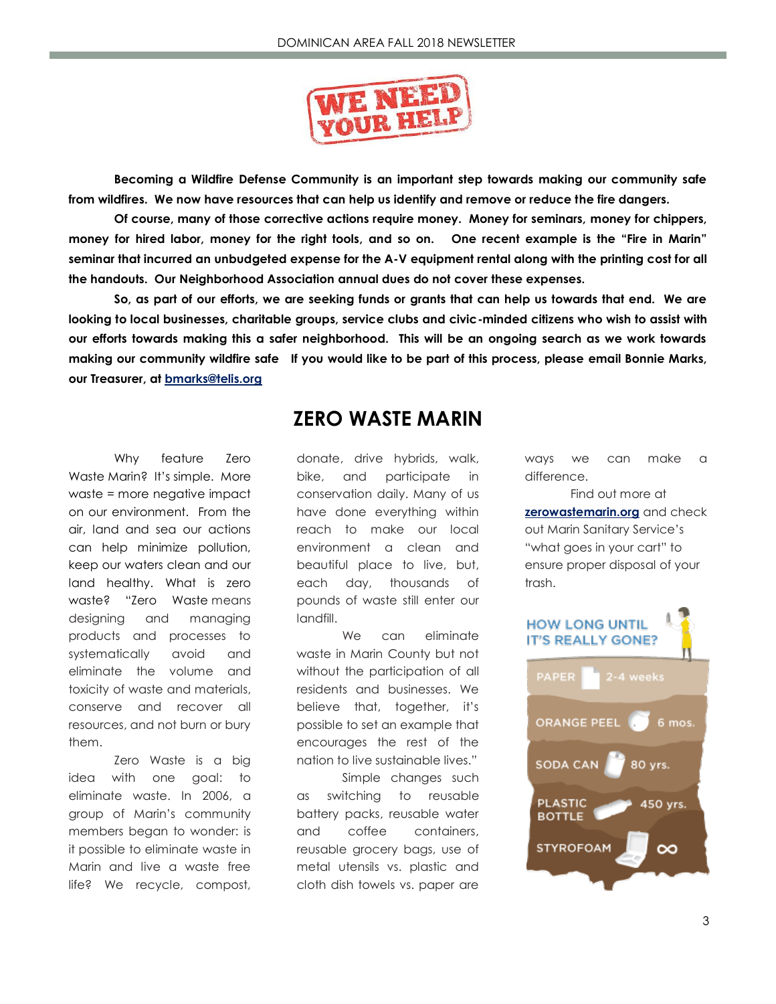

**Becoming a Wildfire Defense Community is an important step towards making our community safe from wildfires. We now have resources that can help us identify and remove or reduce the fire dangers.**

**Of course, many of those corrective actions require money. Money for seminars, money for chippers, money for hired labor, money for the right tools, and so on. One recent example is the "Fire in Marin" seminar that incurred an unbudgeted expense for the A-V equipment rental along with the printing cost for all the handouts. Our Neighborhood Association annual dues do not cover these expenses.**

**So, as part of our efforts, we are seeking funds or grants that can help us towards that end. We are looking to local businesses, charitable groups, service clubs and civic-minded citizens who wish to assist with our efforts towards making this a safer neighborhood. This will be an ongoing search as we work towards making our community wildfire safe If you would like to be part of this process, please email Bonnie Marks, our Treasurer, at<bmarks@telis.org>**

Why feature Zero Waste Marin? It's simple. More waste = more negative impact on our environment. From the air, land and sea our actions can help minimize pollution, keep our waters clean and our land healthy. What is zero waste? "Zero Waste means designing and managing products and processes to systematically avoid and eliminate the volume and toxicity of waste and materials, conserve and recover all resources, and not burn or bury them.

Zero Waste is a big idea with one goal: to eliminate waste. In 2006, a group of Marin's community members began to wonder: is it possible to eliminate waste in Marin and live a waste free life? We recycle, compost,

### **ZERO WASTE MARIN**

donate, drive hybrids, walk, bike, and participate in conservation daily. Many of us have done everything within reach to make our local environment a clean and beautiful place to live, but, each day, thousands of pounds of waste still enter our landfill.

We can eliminate waste in Marin County but not without the participation of all residents and businesses. We believe that, together, it's possible to set an example that encourages the rest of the nation to live sustainable lives."

Simple changes such as switching to reusable battery packs, reusable water and coffee containers, reusable grocery bags, use of metal utensils vs. plastic and cloth dish towels vs. paper are

ways we can make a difference.

Find out more at **<zerowastemarin.org>** and check out Marin Sanitary Service's "what goes in your cart" to ensure proper disposal of your trash.

## **HOW LONG UNTIL IT'S REALLY GONE?**

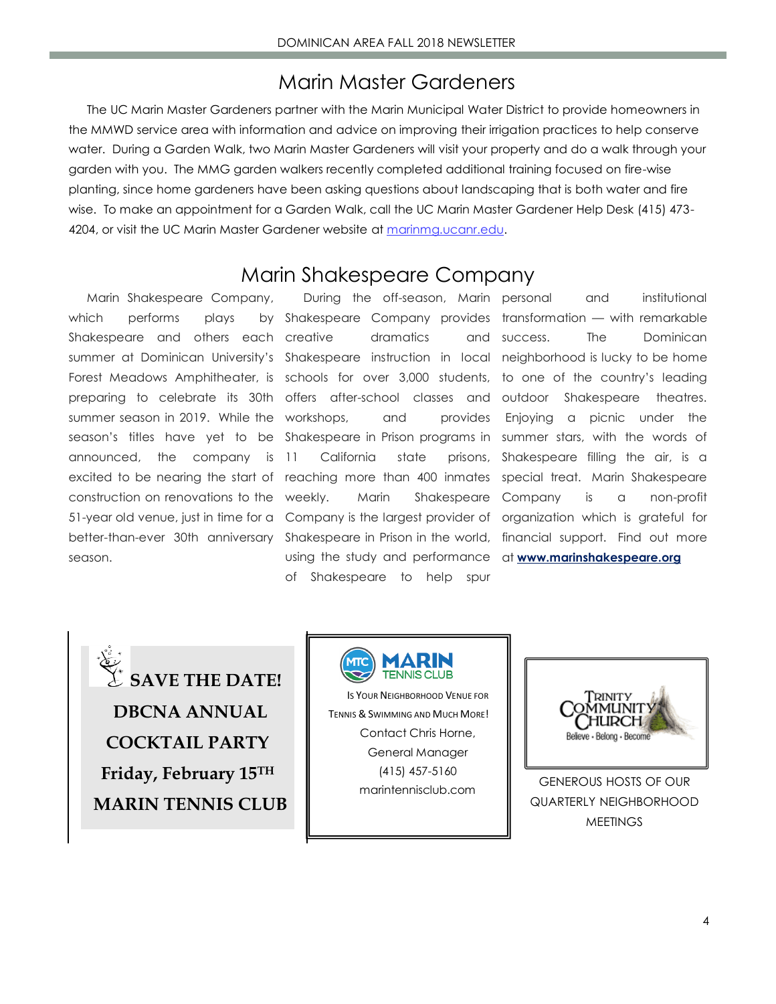### Marin Master Gardeners

The UC Marin Master Gardeners partner with the Marin Municipal Water District to provide homeowners in the MMWD service area with information and advice on improving their irrigation practices to help conserve water. During a Garden Walk, two Marin Master Gardeners will visit your property and do a walk through your garden with you. The MMG garden walkers recently completed additional training focused on fire-wise planting, since home gardeners have been asking questions about landscaping that is both water and fire wise. To make an appointment for a Garden Walk, call the UC Marin Master Gardener Help Desk (415) 473 4204, or visit the UC Marin Master Gardener website at [marinmg.ucanr.edu.](file:///C:/Users/jgnixon/AppData/Local/Microsoft/Windows/Temporary%20Internet%20Files/Content.Outlook/ZUSFN7EJ/DBCNA%20Fall%202018%20Newsletter%20FINAL%20(002).docx)

### Marin Shakespeare Company

Marin Shakespeare Company, which performs plays Shakespeare and others each creative announced, the company is 11 construction on renovations to the season.

summer at Dominican University's Shakespeare instruction in local neighborhood is lucky to be home Forest Meadows Amphitheater, is schools for over 3,000 students, to one of the country's leading preparing to celebrate its 30th offers after-school classes and summer season in 2019. While the workshops, and provides season's titles have yet to be Shakespeare in Prison programs in summer stars, with the words of excited to be nearing the start of reaching more than 400 inmates special treat. Marin Shakespeare 51-year old venue, just in time for a Company is the largest provider of organization which is grateful for better-than-ever 30th anniversary Shakespeare in Prison in the world, financial support. Find out more During the off-season, Marin personal dramatics and success. California state using the study and performance at **[www.marinshakespeare.org](http://www.marinshakespeare.org/)** of Shakespeare to help spur

Shakespeare Company provides transformation — with remarkable weekly. Marin Shakespeare Company is a non-profit personal and institutional The Dominican Shakespeare theatres. Enjoying a picnic under the prisons, Shakespeare filling the air, is a

**SAVE THE DATE! DBCNA ANNUAL COCKTAIL PARTY Friday, February 15TH MARIN TENNIS CLUB**



IS YOUR NEIGHBORHOOD VENUE FOR TENNIS & SWIMMING AND MUCH MORE! Contact Chris Horne, General Manager (415) 457-5160 marintennisclub.com



GENEROUS HOSTS OF OUR QUARTERLY NEIGHBORHOOD **MEETINGS**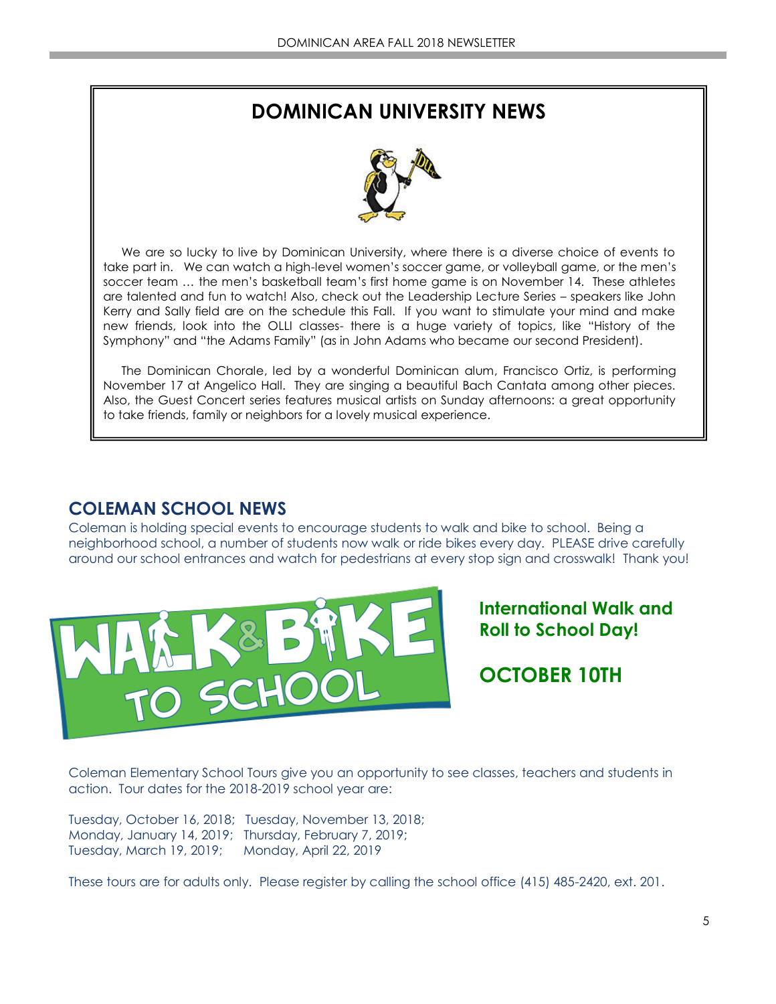# **DOMINICAN UNIVERSITY NEWS**



We are so lucky to live by Dominican University, where there is a diverse choice of events to take part in. We can watch a high-level women's soccer game, or volleyball game, or the men's soccer team … the men's basketball team's first home game is on November 14. These athletes are talented and fun to watch! Also, check out the Leadership Lecture Series – speakers like John Kerry and Sally field are on the schedule this Fall. If you want to stimulate your mind and make new friends, look into the OLLI classes- there is a huge variety of topics, like "History of the Symphony" and "the Adams Family" (as in John Adams who became our second President).

The Dominican Chorale, led by a wonderful Dominican alum, Francisco Ortiz, is performing November 17 at Angelico Hall. They are singing a beautiful Bach Cantata among other pieces. Also, the Guest Concert series features musical artists on Sunday afternoons: a great opportunity to take friends, family or neighbors for a lovely musical experience.

#### **COLEMAN SCHOOL NEWS**

Coleman is holding special events to encourage students to walk and bike to school. Being a neighborhood school, a number of students now walk or ride bikes every day. PLEASE drive carefully around our school entrances and watch for pedestrians at every stop sign and crosswalk! Thank you!



**International Walk and Roll to School Day!** 

**OCTOBER 10TH**

Coleman Elementary School Tours give you an opportunity to see classes, teachers and students in action. Tour dates for the 2018-2019 school year are:

Tuesday, October 16, 2018; Tuesday, November 13, 2018; Monday, January 14, 2019; Thursday, February 7, 2019; Tuesday, March 19, 2019; Monday, April 22, 2019

These tours are for adults only. Please register by calling the school office (415) 485-2420, ext. 201.